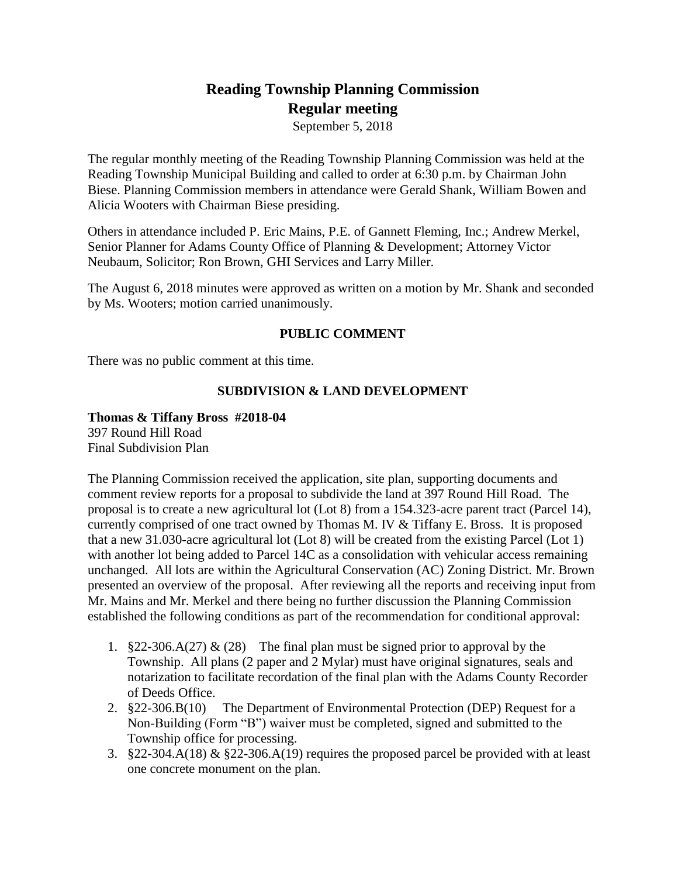# **Reading Township Planning Commission Regular meeting**

September 5, 2018

The regular monthly meeting of the Reading Township Planning Commission was held at the Reading Township Municipal Building and called to order at 6:30 p.m. by Chairman John Biese. Planning Commission members in attendance were Gerald Shank, William Bowen and Alicia Wooters with Chairman Biese presiding.

Others in attendance included P. Eric Mains, P.E. of Gannett Fleming, Inc.; Andrew Merkel, Senior Planner for Adams County Office of Planning & Development; Attorney Victor Neubaum, Solicitor; Ron Brown, GHI Services and Larry Miller.

The August 6, 2018 minutes were approved as written on a motion by Mr. Shank and seconded by Ms. Wooters; motion carried unanimously.

# **PUBLIC COMMENT**

There was no public comment at this time.

# **SUBDIVISION & LAND DEVELOPMENT**

## **Thomas & Tiffany Bross #2018-04**

397 Round Hill Road Final Subdivision Plan

The Planning Commission received the application, site plan, supporting documents and comment review reports for a proposal to subdivide the land at 397 Round Hill Road. The proposal is to create a new agricultural lot (Lot 8) from a 154.323-acre parent tract (Parcel 14), currently comprised of one tract owned by Thomas M. IV & Tiffany E. Bross. It is proposed that a new 31.030-acre agricultural lot (Lot 8) will be created from the existing Parcel (Lot 1) with another lot being added to Parcel 14C as a consolidation with vehicular access remaining unchanged. All lots are within the Agricultural Conservation (AC) Zoning District. Mr. Brown presented an overview of the proposal. After reviewing all the reports and receiving input from Mr. Mains and Mr. Merkel and there being no further discussion the Planning Commission established the following conditions as part of the recommendation for conditional approval:

- 1. §22-306.A(27) & (28) The final plan must be signed prior to approval by the Township. All plans (2 paper and 2 Mylar) must have original signatures, seals and notarization to facilitate recordation of the final plan with the Adams County Recorder of Deeds Office.
- 2. §22-306.B(10) The Department of Environmental Protection (DEP) Request for a Non-Building (Form "B") waiver must be completed, signed and submitted to the Township office for processing.
- 3. §22-304.A(18) & §22-306.A(19) requires the proposed parcel be provided with at least one concrete monument on the plan.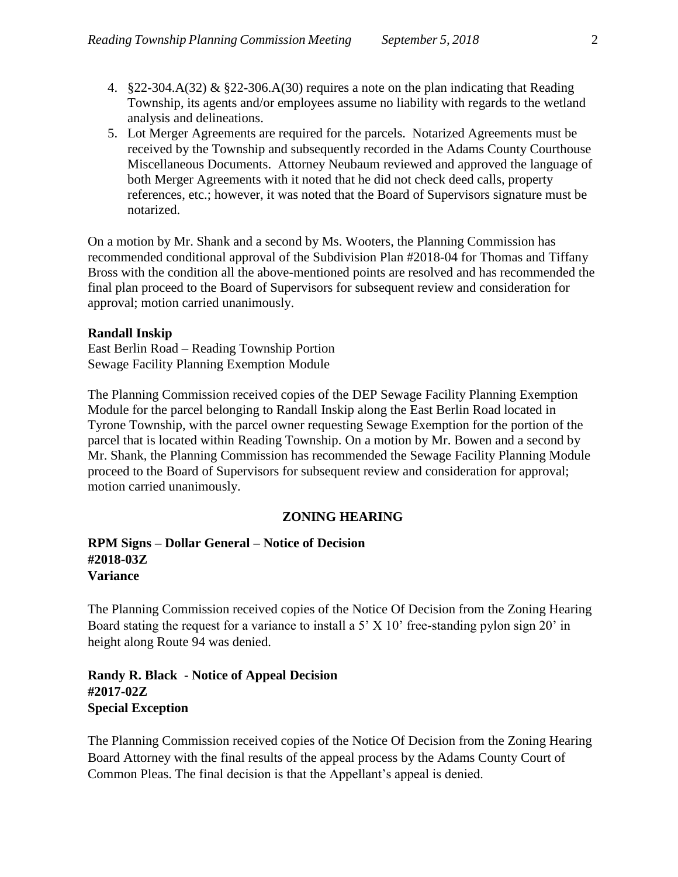- 4.  $\S 22-304.A(32) \& \S 22-306.A(30)$  requires a note on the plan indicating that Reading Township, its agents and/or employees assume no liability with regards to the wetland analysis and delineations.
- 5. Lot Merger Agreements are required for the parcels. Notarized Agreements must be received by the Township and subsequently recorded in the Adams County Courthouse Miscellaneous Documents. Attorney Neubaum reviewed and approved the language of both Merger Agreements with it noted that he did not check deed calls, property references, etc.; however, it was noted that the Board of Supervisors signature must be notarized.

On a motion by Mr. Shank and a second by Ms. Wooters, the Planning Commission has recommended conditional approval of the Subdivision Plan #2018-04 for Thomas and Tiffany Bross with the condition all the above-mentioned points are resolved and has recommended the final plan proceed to the Board of Supervisors for subsequent review and consideration for approval; motion carried unanimously.

#### **Randall Inskip**

East Berlin Road – Reading Township Portion Sewage Facility Planning Exemption Module

The Planning Commission received copies of the DEP Sewage Facility Planning Exemption Module for the parcel belonging to Randall Inskip along the East Berlin Road located in Tyrone Township, with the parcel owner requesting Sewage Exemption for the portion of the parcel that is located within Reading Township. On a motion by Mr. Bowen and a second by Mr. Shank, the Planning Commission has recommended the Sewage Facility Planning Module proceed to the Board of Supervisors for subsequent review and consideration for approval; motion carried unanimously.

#### **ZONING HEARING**

# **RPM Signs – Dollar General – Notice of Decision #2018-03Z Variance**

The Planning Commission received copies of the Notice Of Decision from the Zoning Hearing Board stating the request for a variance to install a 5' X 10' free-standing pylon sign 20' in height along Route 94 was denied.

**Randy R. Black - Notice of Appeal Decision #2017-02Z Special Exception**

The Planning Commission received copies of the Notice Of Decision from the Zoning Hearing Board Attorney with the final results of the appeal process by the Adams County Court of Common Pleas. The final decision is that the Appellant's appeal is denied.